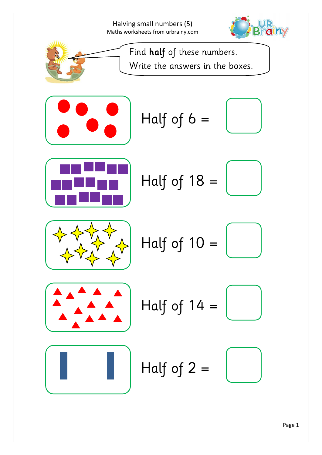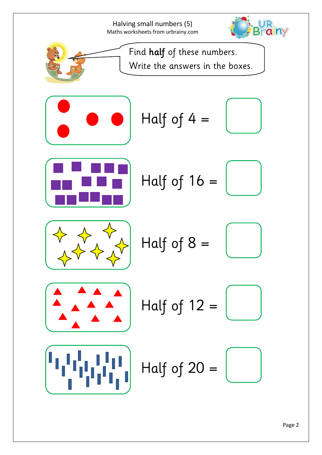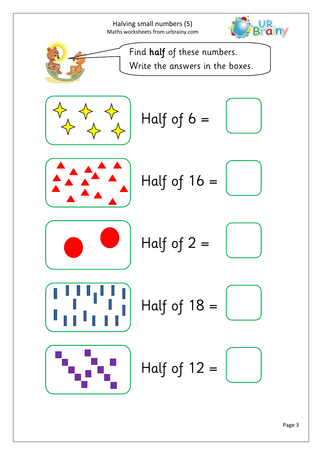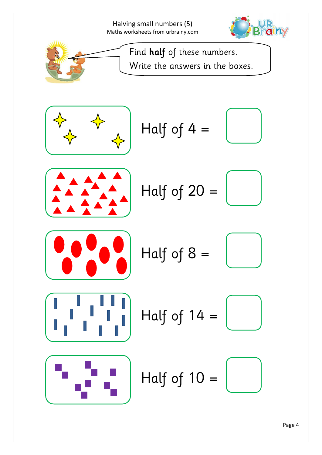